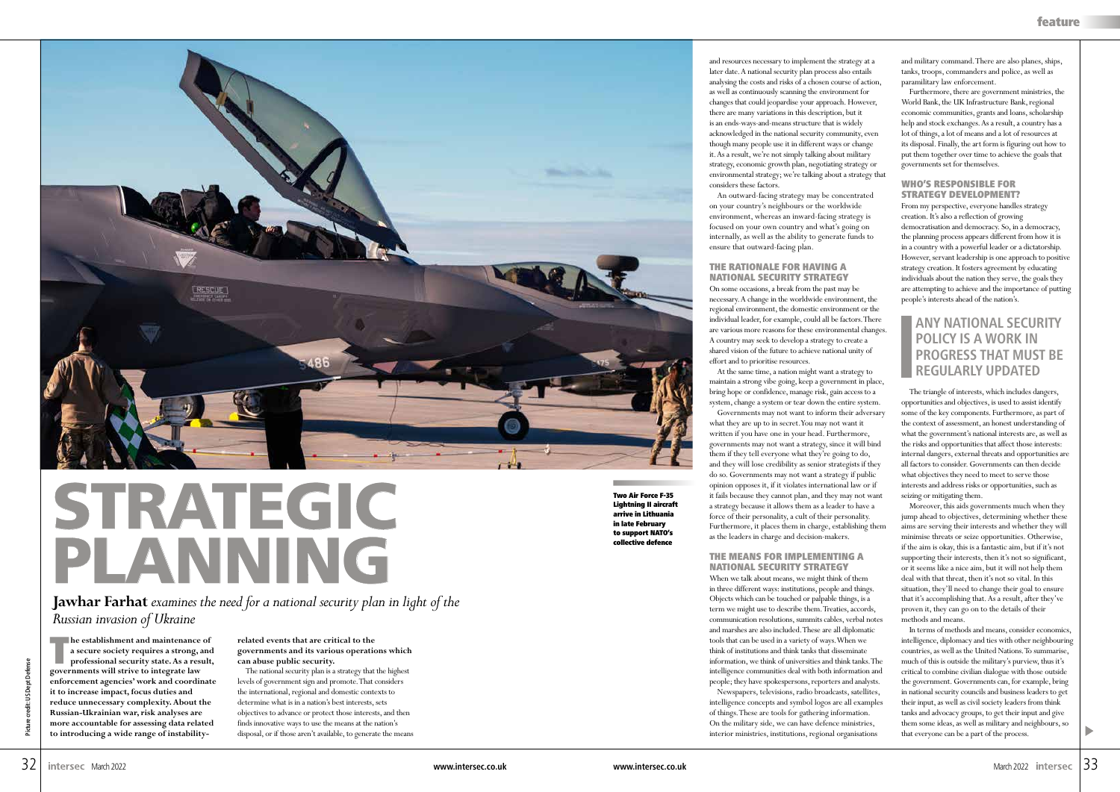Two Air Force F-35 Lightning II aircraft arrive in Lithuania in late February to support NATO's collective defence

**The establishment and maintenance of a secure society requires a strong, and professional security state. As a result, governments will strive to integrate law enforcement agencies' work and coordinate it to increase impact, focus duties and reduce unnecessary complexity. About the Russian-Ukrainian war, risk analyses are more accountable for assessing data related to introducing a wide range of instability-**

**related events that are critical to the governments and its various operations which can abuse public security.**

The national security plan is a strategy that the highest levels of government sign and promote. That considers the international, regional and domestic contexts to determine what is in a nation's best interests, sets objectives to advance or protect those interests, and then finds innovative ways to use the means at the nation's disposal, or if those aren't available, to generate the means and resources necessary to implement the strategy at a later date. A national security plan process also entails analysing the costs and risks of a chosen course of action, as well as continuously scanning the environment for changes that could jeopardise your approach. However, there are many variations in this description, but it is an ends-ways-and-means structure that is widely acknowledged in the national security community, even though many people use it in different ways or change it. As a result, we're not simply talking about military strategy, economic growth plan, negotiating strategy or environmental strategy; we're talking about a strategy that considers these factors.

An outward-facing strategy may be concentrated on your country's neighbours or the worldwide environment, whereas an inward-facing strategy is focused on your own country and what's going on internally, as well as the ability to generate funds to ensure that outward-facing plan.

#### THE RATIONALE FOR HAVING A NATIONAL SECURITY STRATEGY

On some occasions, a break from the past may be necessary. A change in the worldwide environment, the regional environment, the domestic environment or the individual leader, for example, could all be factors. There are various more reasons for these environmental changes. A country may seek to develop a strategy to create a shared vision of the future to achieve national unity of effort and to prioritise resources.

At the same time, a nation might want a strategy to

maintain a strong vibe going, keep a government in place, bring hope or confidence, manage risk, gain access to a system, change a system or tear down the entire system. Governments may not want to inform their adversary what they are up to in secret. You may not want it written if you have one in your head. Furthermore, governments may not want a strategy, since it will bind them if they tell everyone what they're going to do, and they will lose credibility as senior strategists if they do so. Governments may not want a strategy if public opinion opposes it, if it violates international law or if it fails because they cannot plan, and they may not want a strategy because it allows them as a leader to have a force of their personality, a cult of their personality. Furthermore, it places them in charge, establishing them as the leaders in charge and decision-makers.

### THE MEANS FOR IMPLEMENTING A NATIONAL SECURITY STRATEGY

When we talk about means, we might think of them in three different ways: institutions, people and things. Objects which can be touched or palpable things, is a term we might use to describe them. Treaties, accords, communication resolutions, summits cables, verbal notes and marshes are also included. These are all diplomatic tools that can be used in a variety of ways. When we think of institutions and think tanks that disseminate information, we think of universities and think tanks. The intelligence communities deal with both information and people; they have spokespersons, reporters and analysts. Newspapers, televisions, radio broadcasts, satellites, intelligence concepts and symbol logos are all examples of things. These are tools for gathering information. On the military side, we can have defence ministries, interior ministries, institutions, regional organisations

and military command. There are also planes, ships, tanks, troops, commanders and police, as well as paramilitary law enforcement.

Furthermore, there are government ministries, the World Bank, the UK Infrastructure Bank, regional economic communities, grants and loans, scholarship help and stock exchanges. As a result, a country has a lot of things, a lot of means and a lot of resources at its disposal. Finally, the art form is figuring out how to put them together over time to achieve the goals that governments set for themselves.

## WHO'S RESPONSIBLE FOR STRATEGY DEVELOPMENT?

From my perspective, everyone handles strategy creation. It's also a reflection of growing democratisation and democracy. So, in a democracy, the planning process appears different from how it is in a country with a powerful leader or a dictatorship. However, servant leadership is one approach to positive strategy creation. It fosters agreement by educating individuals about the nation they serve, the goals they are attempting to achieve and the importance of putting people's interests ahead of the nation's.

The triangle of interests, which includes dangers, opportunities and objectives, is used to assist identify some of the key components. Furthermore, as part of the context of assessment, an honest understanding of what the government's national interests are, as well as the risks and opportunities that affect those interests: internal dangers, external threats and opportunities are all factors to consider. Governments can then decide what objectives they need to meet to serve those interests and address risks or opportunities, such as seizing or mitigating them.

Moreover, this aids governments much when they jump ahead to objectives, determining whether these aims are serving their interests and whether they will minimise threats or seize opportunities. Otherwise, if the aim is okay, this is a fantastic aim, but if it's not supporting their interests, then it's not so significant, or it seems like a nice aim, but it will not help them deal with that threat, then it's not so vital. In this situation, they'll need to change their goal to ensure that it's accomplishing that. As a result, after they've proven it, they can go on to the details of their methods and means.

In terms of methods and means, consider economics, intelligence, diplomacy and ties with other neighbouring countries, as well as the United Nations. To summarise, much of this is outside the military's purview, thus it's critical to combine civilian dialogue with those outside the government. Governments can, for example, bring in national security councils and business leaders to get their input, as well as civil society leaders from think tanks and advocacy groups, to get their input and give them some ideas, as well as military and neighbours, so that everyone can be a part of the process.

# **ANY NATIONAL SECURITY POLICY IS A WORK IN PROGRESS THAT MUST BE REGULARLY UPDATED**





**Jawhar Farhat** *examines the need for a national security plan in light of the Russian invasion of Ukraine*